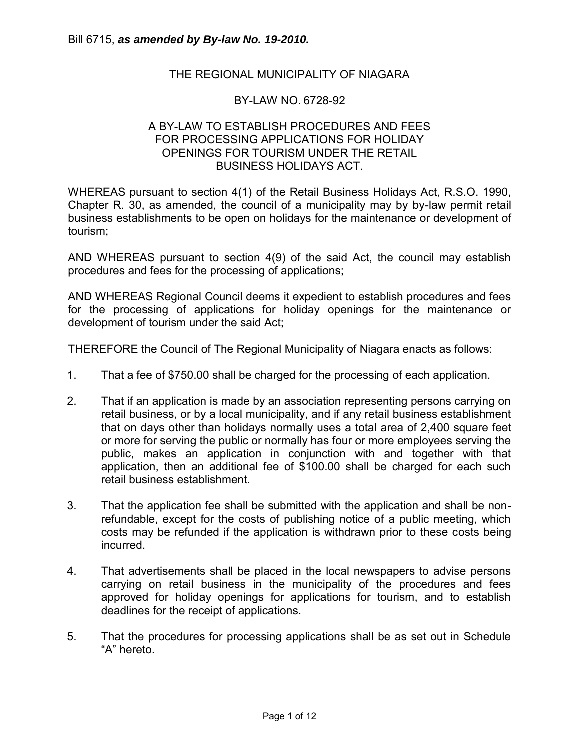## THE REGIONAL MUNICIPALITY OF NIAGARA

#### BY-LAW NO. 6728-92

### A BY-LAW TO ESTABLISH PROCEDURES AND FEES FOR PROCESSING APPLICATIONS FOR HOLIDAY OPENINGS FOR TOURISM UNDER THE RETAIL BUSINESS HOLIDAYS ACT.

WHEREAS pursuant to section 4(1) of the Retail Business Holidays Act, R.S.O. 1990, Chapter R. 30, as amended, the council of a municipality may by by-law permit retail business establishments to be open on holidays for the maintenance or development of tourism;

AND WHEREAS pursuant to section 4(9) of the said Act, the council may establish procedures and fees for the processing of applications;

AND WHEREAS Regional Council deems it expedient to establish procedures and fees for the processing of applications for holiday openings for the maintenance or development of tourism under the said Act;

THEREFORE the Council of The Regional Municipality of Niagara enacts as follows:

- 1. That a fee of \$750.00 shall be charged for the processing of each application.
- 2. That if an application is made by an association representing persons carrying on retail business, or by a local municipality, and if any retail business establishment that on days other than holidays normally uses a total area of 2,400 square feet or more for serving the public or normally has four or more employees serving the public, makes an application in conjunction with and together with that application, then an additional fee of \$100.00 shall be charged for each such retail business establishment.
- 3. That the application fee shall be submitted with the application and shall be nonrefundable, except for the costs of publishing notice of a public meeting, which costs may be refunded if the application is withdrawn prior to these costs being incurred.
- 4. That advertisements shall be placed in the local newspapers to advise persons carrying on retail business in the municipality of the procedures and fees approved for holiday openings for applications for tourism, and to establish deadlines for the receipt of applications.
- 5. That the procedures for processing applications shall be as set out in Schedule "A" hereto.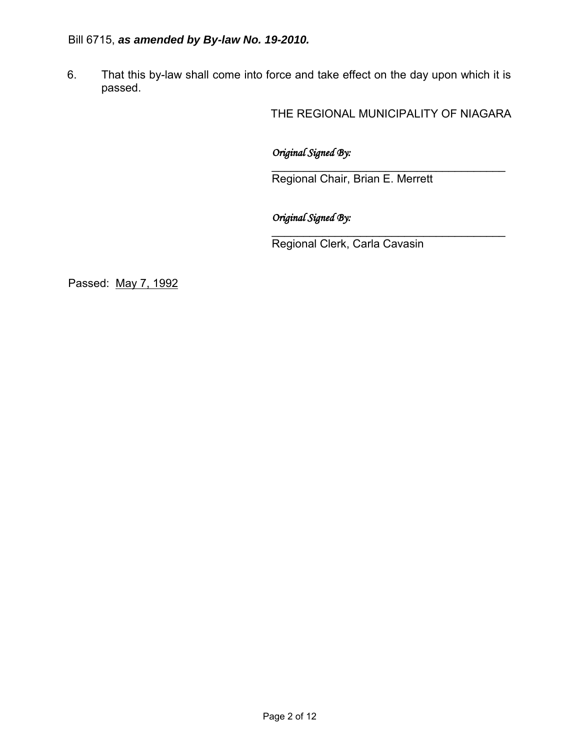# Bill 6715, *as amended by By-law No. 19-2010.*

6. That this by-law shall come into force and take effect on the day upon which it is passed.

THE REGIONAL MUNICIPALITY OF NIAGARA

*Original Signed By:* 

\_\_\_\_\_\_\_\_\_\_\_\_\_\_\_\_\_\_\_\_\_\_\_\_\_\_\_\_\_\_\_\_\_\_\_\_\_ Regional Chair, Brian E. Merrett

*Original Signed By:* 

\_\_\_\_\_\_\_\_\_\_\_\_\_\_\_\_\_\_\_\_\_\_\_\_\_\_\_\_\_\_\_\_\_\_\_\_\_ Regional Clerk, Carla Cavasin

Passed: May 7, 1992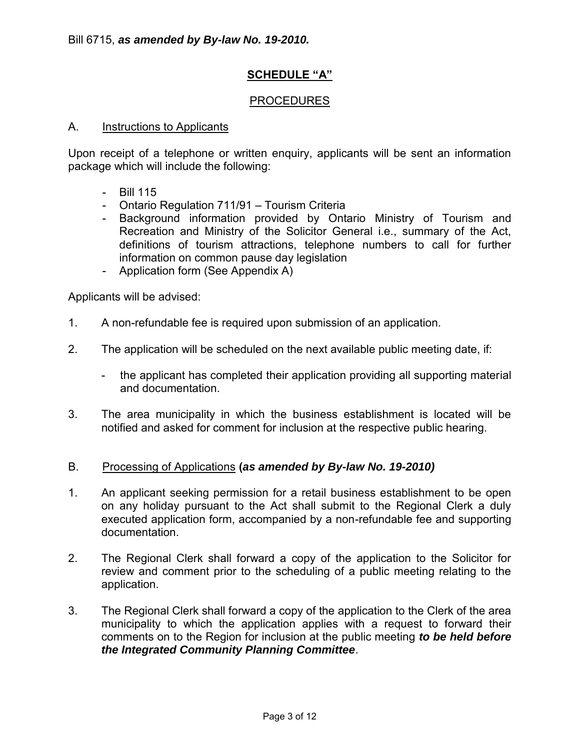## **SCHEDULE "A"**

### PROCEDURES

#### A. Instructions to Applicants

Upon receipt of a telephone or written enquiry, applicants will be sent an information package which will include the following:

- Bill 115
- Ontario Regulation 711/91 Tourism Criteria
- Background information provided by Ontario Ministry of Tourism and Recreation and Ministry of the Solicitor General i.e., summary of the Act, definitions of tourism attractions, telephone numbers to call for further information on common pause day legislation
- Application form (See Appendix A)

Applicants will be advised:

- 1. A non-refundable fee is required upon submission of an application.
- 2. The application will be scheduled on the next available public meeting date, if:
	- the applicant has completed their application providing all supporting material and documentation.
- 3. The area municipality in which the business establishment is located will be notified and asked for comment for inclusion at the respective public hearing.

#### B. Processing of Applications **(***as amended by By-law No. 19-2010)*

- 1. An applicant seeking permission for a retail business establishment to be open on any holiday pursuant to the Act shall submit to the Regional Clerk a duly executed application form, accompanied by a non-refundable fee and supporting documentation.
- 2. The Regional Clerk shall forward a copy of the application to the Solicitor for review and comment prior to the scheduling of a public meeting relating to the application.
- 3. The Regional Clerk shall forward a copy of the application to the Clerk of the area municipality to which the application applies with a request to forward their comments on to the Region for inclusion at the public meeting *to be held before the Integrated Community Planning Committee*.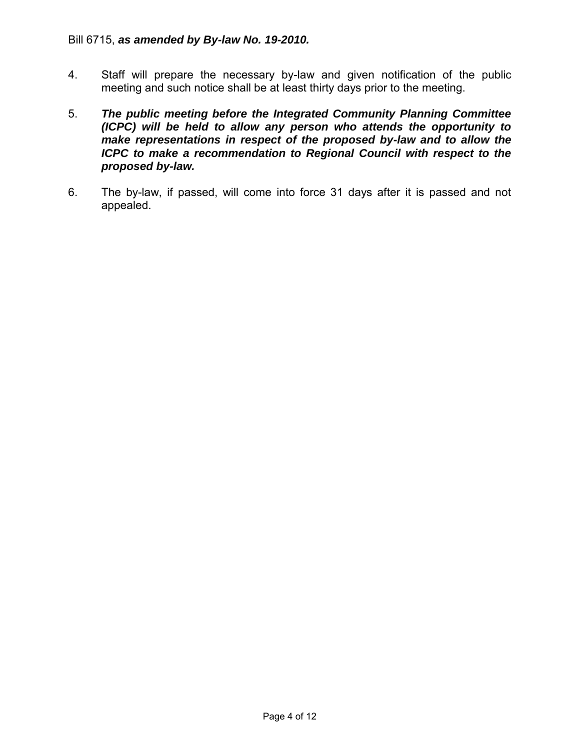- 4. Staff will prepare the necessary by-law and given notification of the public meeting and such notice shall be at least thirty days prior to the meeting.
- 5. *The public meeting before the Integrated Community Planning Committee (ICPC) will be held to allow any person who attends the opportunity to make representations in respect of the proposed by-law and to allow the ICPC to make a recommendation to Regional Council with respect to the proposed by-law.*
- 6. The by-law, if passed, will come into force 31 days after it is passed and not appealed.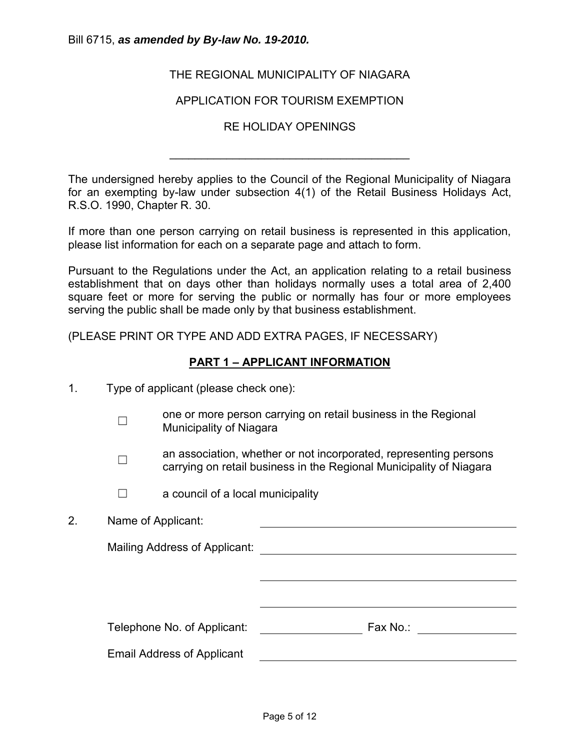#### Bill 6715, *as amended by By-law No. 19-2010.*

## THE REGIONAL MUNICIPALITY OF NIAGARA

### APPLICATION FOR TOURISM EXEMPTION

### RE HOLIDAY OPENINGS

\_\_\_\_\_\_\_\_\_\_\_\_\_\_\_\_\_\_\_\_\_\_\_\_\_\_\_\_\_\_\_\_\_\_\_\_\_\_

The undersigned hereby applies to the Council of the Regional Municipality of Niagara for an exempting by-law under subsection 4(1) of the Retail Business Holidays Act, R.S.O. 1990, Chapter R. 30.

If more than one person carrying on retail business is represented in this application, please list information for each on a separate page and attach to form.

Pursuant to the Regulations under the Act, an application relating to a retail business establishment that on days other than holidays normally uses a total area of 2,400 square feet or more for serving the public or normally has four or more employees serving the public shall be made only by that business establishment.

(PLEASE PRINT OR TYPE AND ADD EXTRA PAGES, IF NECESSARY)

## **PART 1 – APPLICANT INFORMATION**

- 1. Type of applicant (please check one):
	- $\Box$ one or more person carrying on retail business in the Regional Municipality of Niagara
	- ☐ an association, whether or not incorporated, representing persons carrying on retail business in the Regional Municipality of Niagara
	- $\Box$  a council of a local municipality
- 2. Name of Applicant:

Mailing Address of Applicant:

Telephone No. of Applicant: Fax No.: Fax No.:

Email Address of Applicant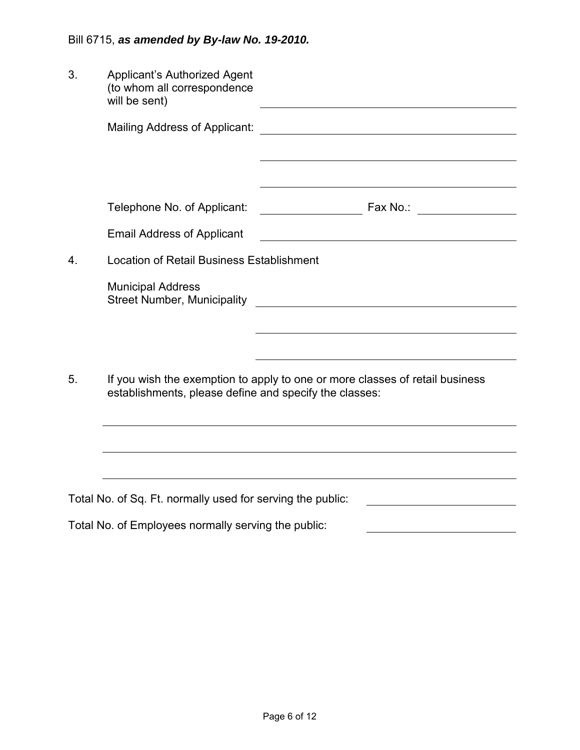| 3. | <b>Applicant's Authorized Agent</b><br>(to whom all correspondence<br>will be sent)                                                    |                                                                                                                                                                                                                               |
|----|----------------------------------------------------------------------------------------------------------------------------------------|-------------------------------------------------------------------------------------------------------------------------------------------------------------------------------------------------------------------------------|
|    | Mailing Address of Applicant:                                                                                                          | <u> 1980 - Johann Stoff, deutscher Stoffen und der Stoffen und der Stoffen und der Stoffen und der Stoffen und de</u>                                                                                                         |
|    |                                                                                                                                        |                                                                                                                                                                                                                               |
|    |                                                                                                                                        | the control of the control of the control of the control of the control of the control of the control of the control of the control of the control of the control of the control of the control of the control of the control |
|    | Telephone No. of Applicant:                                                                                                            |                                                                                                                                                                                                                               |
|    | <b>Email Address of Applicant</b>                                                                                                      |                                                                                                                                                                                                                               |
| 4. | <b>Location of Retail Business Establishment</b>                                                                                       |                                                                                                                                                                                                                               |
|    | <b>Municipal Address</b>                                                                                                               |                                                                                                                                                                                                                               |
|    |                                                                                                                                        |                                                                                                                                                                                                                               |
|    |                                                                                                                                        |                                                                                                                                                                                                                               |
| 5. | If you wish the exemption to apply to one or more classes of retail business<br>establishments, please define and specify the classes: |                                                                                                                                                                                                                               |
|    |                                                                                                                                        |                                                                                                                                                                                                                               |
|    |                                                                                                                                        |                                                                                                                                                                                                                               |
|    | Total No. of Sq. Ft. normally used for serving the public:                                                                             |                                                                                                                                                                                                                               |

Total No. of Employees normally serving the public: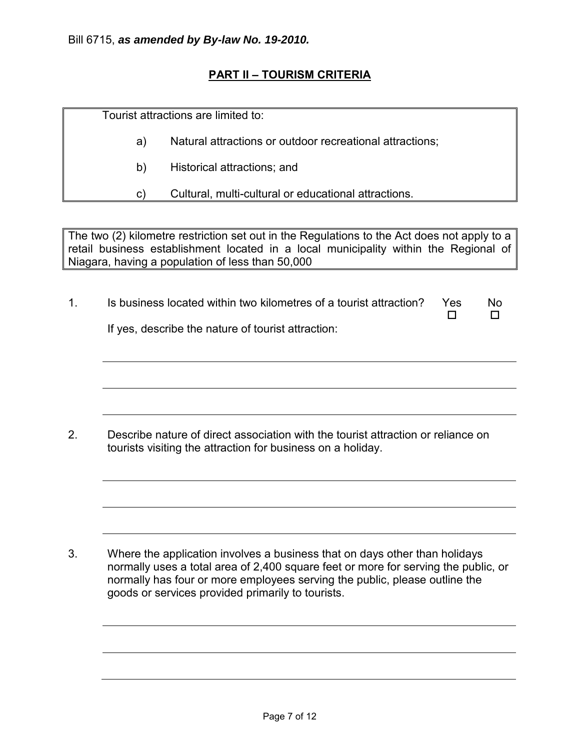# **PART II – TOURISM CRITERIA**

Tourist attractions are limited to:

- a) Natural attractions or outdoor recreational attractions;
- b) Historical attractions; and

c) Cultural, multi-cultural or educational attractions.

The two (2) kilometre restriction set out in the Regulations to the Act does not apply to a retail business establishment located in a local municipality within the Regional of Niagara, having a population of less than 50,000

1. Is business located within two kilometres of a tourist attraction? If yes, describe the nature of tourist attraction: Yes  $\Box$ No  $\Box$ 

2. Describe nature of direct association with the tourist attraction or reliance on tourists visiting the attraction for business on a holiday.

3. Where the application involves a business that on days other than holidays normally uses a total area of 2,400 square feet or more for serving the public, or normally has four or more employees serving the public, please outline the goods or services provided primarily to tourists.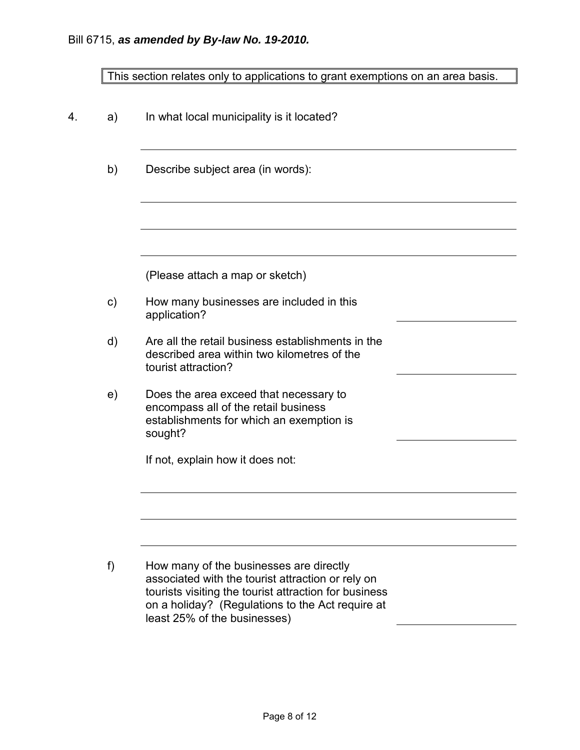| This section relates only to applications to grant exemptions on an area basis. |  |  |
|---------------------------------------------------------------------------------|--|--|
|                                                                                 |  |  |

| 4. | a)            | In what local municipality is it located?                                                                                                                                                                                                 |  |
|----|---------------|-------------------------------------------------------------------------------------------------------------------------------------------------------------------------------------------------------------------------------------------|--|
|    | b)            | Describe subject area (in words):                                                                                                                                                                                                         |  |
|    |               |                                                                                                                                                                                                                                           |  |
|    |               | (Please attach a map or sketch)                                                                                                                                                                                                           |  |
|    | $\mathsf{c})$ | How many businesses are included in this<br>application?                                                                                                                                                                                  |  |
|    | $\mathsf{d}$  | Are all the retail business establishments in the<br>described area within two kilometres of the<br>tourist attraction?                                                                                                                   |  |
|    | e)            | Does the area exceed that necessary to<br>encompass all of the retail business<br>establishments for which an exemption is<br>sought?                                                                                                     |  |
|    |               | If not, explain how it does not:                                                                                                                                                                                                          |  |
|    |               |                                                                                                                                                                                                                                           |  |
|    | f)            | How many of the businesses are directly<br>associated with the tourist attraction or rely on<br>tourists visiting the tourist attraction for business<br>on a holiday? (Regulations to the Act require at<br>least 25% of the businesses) |  |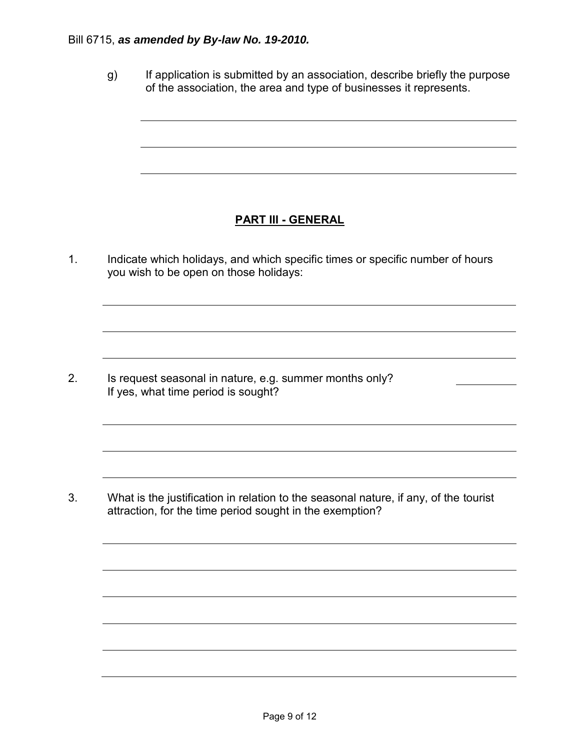#### Bill 6715, *as amended by By-law No. 19-2010.*

g) If application is submitted by an association, describe briefly the purpose of the association, the area and type of businesses it represents.

# **PART III - GENERAL**

1. Indicate which holidays, and which specific times or specific number of hours you wish to be open on those holidays:

2. Is request seasonal in nature, e.g. summer months only? If yes, what time period is sought?

3. What is the justification in relation to the seasonal nature, if any, of the tourist attraction, for the time period sought in the exemption?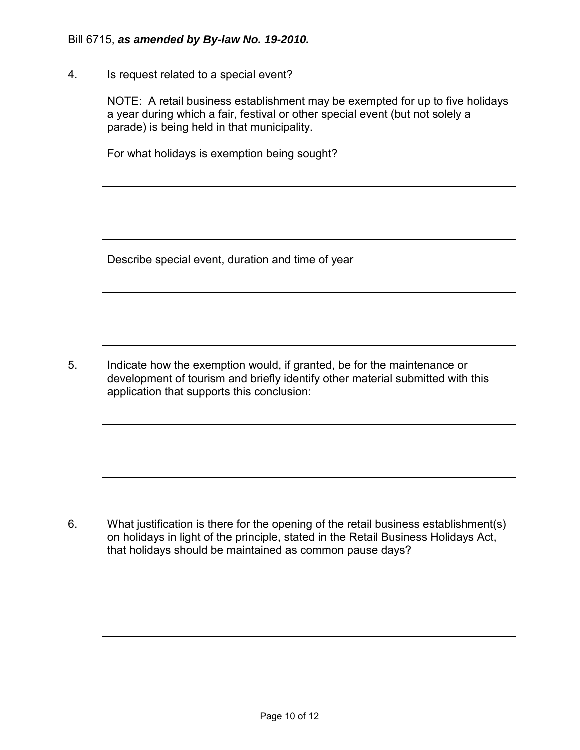4. Is request related to a special event?

NOTE: A retail business establishment may be exempted for up to five holidays a year during which a fair, festival or other special event (but not solely a parade) is being held in that municipality.

For what holidays is exemption being sought?

Describe special event, duration and time of year

5. Indicate how the exemption would, if granted, be for the maintenance or development of tourism and briefly identify other material submitted with this application that supports this conclusion:

6. What justification is there for the opening of the retail business establishment(s) on holidays in light of the principle, stated in the Retail Business Holidays Act, that holidays should be maintained as common pause days?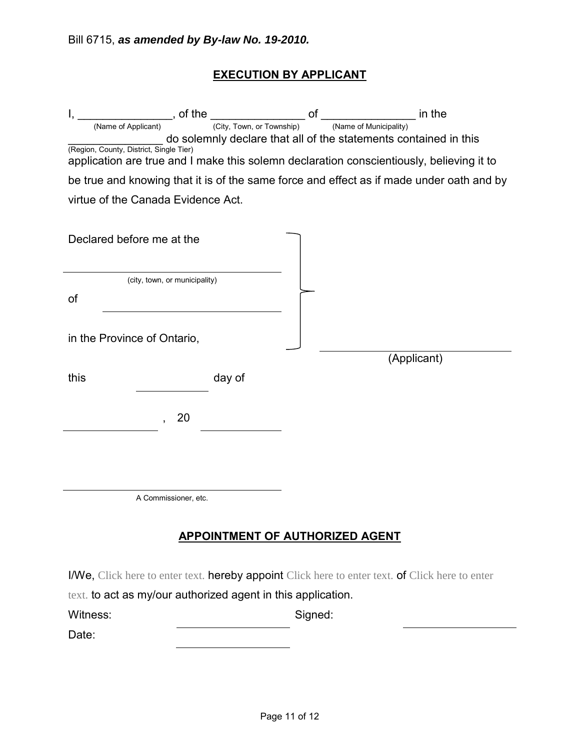# **EXECUTION BY APPLICANT**

| $\frac{1}{\text{name of Applicant}}$ , of the $\frac{1}{\text{City, Town, or Township}}$ of .                                       |        |                                                                                            | in the      |
|-------------------------------------------------------------------------------------------------------------------------------------|--------|--------------------------------------------------------------------------------------------|-------------|
| (Name of Applicant)                                                                                                                 |        | (Name of Municipality)<br>do solemnly declare that all of the statements contained in this |             |
| (Region, County, District, Single Tier)<br>application are true and I make this solemn declaration conscientiously, believing it to |        |                                                                                            |             |
| be true and knowing that it is of the same force and effect as if made under oath and by                                            |        |                                                                                            |             |
| virtue of the Canada Evidence Act.                                                                                                  |        |                                                                                            |             |
| Declared before me at the                                                                                                           |        |                                                                                            |             |
| (city, town, or municipality)                                                                                                       |        |                                                                                            |             |
| of                                                                                                                                  |        |                                                                                            |             |
| in the Province of Ontario,                                                                                                         |        |                                                                                            |             |
| this                                                                                                                                | day of |                                                                                            | (Applicant) |
| 20                                                                                                                                  |        |                                                                                            |             |
|                                                                                                                                     |        |                                                                                            |             |
|                                                                                                                                     |        |                                                                                            |             |
| A Commissioner, etc.                                                                                                                |        |                                                                                            |             |
| <b>APPOINTMENT OF AUTHORIZED AGENT</b>                                                                                              |        |                                                                                            |             |

I/We, Click here to enter text. hereby appoint Click here to enter text. of Click here to enter

text. to act as my/our authorized agent in this application.

| Witness: | Signed: |
|----------|---------|
|          |         |

Date: